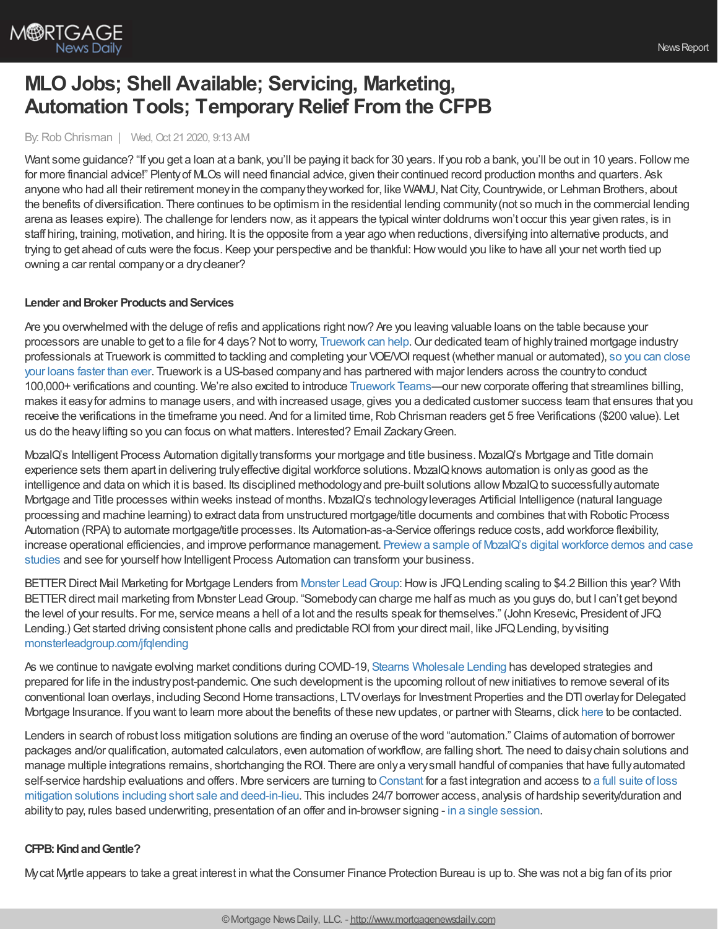

# **MLO Jobs; Shell Available; Servicing, Marketing, Automation Tools; TemporaryRelief From the CFPB**

# By: Rob Chrisman | Wed, Oct 21 2020, 9:13 AM

Want some guidance? "If you get a loan at a bank, you'll be paying it back for 30 years. If you rob a bank, you'll be out in 10 years. Follow me for more financial advice!" Plentyof MLOs will need financial advice, given their continued record production months and quarters. Ask anyone who had all their retirement money in the company they worked for, like WAMU, Nat City, Countrywide, or Lehman Brothers, about the benefits of diversification. There continues to be optimism in the residential lending community(not so much in the commercial lending arena as leases expire). The challenge for lenders now, as it appears the typical winter doldrums won't occur this year given rates, is in staff hiring, training, motivation, and hiring. It is the opposite from a year ago when reductions, diversifying into alternative products, and trying to get ahead of cuts were the focus. Keep your perspective and be thankful: How would you like to have all your net worth tied up owning a car rental companyor a drycleaner?

### **Lender** and **Broker Products** and **Services**

Are you overwhelmed with the deluge of refis and applications right now? Are you leaving valuable loans on the table because your processors are unable to get to a file for 4 days? Not to worry, [Truework](https://l.linklyhq.com/l/8cDV) can help. Our dedicated team of highly trained mortgage industry [professionals](https://l.linklyhq.com/l/8cDw) at Truework is committed to tackling and completing your VOE/VOI request (whether manual or automated), so you can close your loans faster than ever. Truework is a US-based companyand has partnered with major lenders across the countryto conduct 100,000+ verifications and counting. We're also excited to introduce [Truework](https://l.linklyhq.com/l/8cE2) Teams—our newcorporate offering that streamlines billing, makes it easyfor admins to manage users, and with increased usage, gives you a dedicated customer success team that ensures that you receive the verifications in the timeframe you need. And for a limited time, Rob Chrisman readers get 5 free Verifications (\$200 value). Let us do the heavylifting so you can focus on what matters. Interested? Email ZackaryGreen.

MozaIQ's Intelligent Process Automation digitallytransforms your mortgage and title business. MozaIQ's Mortgage and Title domain experience sets them apart in delivering trulyeffective digital workforce solutions. MozaIQknows automation is onlyas good as the intelligence and data on which it is based. Its disciplined methodology and pre-built solutions allow MozaIQ to successfully automate Mortgage and Title processes within weeks instead of months. MozaIQ's technologyleverages Artificial Intelligence (natural language processing and machine learning) to extract data from unstructured mortgage/title documents and combines thatwith Robotic Process Automation (RPA) to automate mortgage/title processes. Its Automation-as-a-Service offerings reduce costs, add workforce flexibility, increase operational efficiencies, and improve performance management. Preview a sample of MozaIQ's digital workforce demos and case studies and see for yourself how Intelligent Process Automation can transform your business.

BETTER Direct Mail Marketing for Mortgage Lenders from Monster Lead Group: How is JFQ Lending scaling to \$4.2 Billion this year? With BETTER direct mail marketing from Monster Lead Group. "Somebody can charge me half as much as you guys do, but I can't get beyond the level of your results. For me, service means a hell of a lot and the results speak for themselves." (John Kresevic, President of JFQ Lending.) Get started driving consistent phone calls and predictable ROI from your direct mail, like JFQ Lending, by visiting [monsterleadgroup.com/jfqlending](https://www.monsterleadgroup.com/jfqlending)

As we continue to navigate evolving market conditions during COVID-19, Stearns [Wholesale](https://www.stearnswholesale.com/) Lending has developed strategies and prepared for life in the industry post-pandemic. One such development is the upcoming rollout of new initiatives to remove several of its conventional loan overlays, including Second Home transactions, LTVoverlays for Investment Properties and the DTI overlayfor Delegated Mortgage Insurance. If you want to learn more about the benefits of these newupdates, or partner with Stearns, click [here](https://urldefense.com/v3/__https:/sites.totalexpert.net/event-registration/new-broker---chrisman-387548__;!!GShpH3_x!9-EO_9VijnNDBdzdao1kQUWN8Zqknrkqfk8YwqHJ_gTEwlxxXCVZ7fr0Z5cLxUJ0NqhH$) to be contacted.

Lenders in search of robust loss mitigation solutions are finding an overuse of the word "automation." Claims of automation of borrower packages and/or qualification, automated calculators, even automation ofworkflow, are falling short. The need to daisychain solutions and manage multiple integrations remains, shortchanging the ROI. There are onlya verysmall handful of companies that have fullyautomated self-service hardship evaluations and offers. More servicers are turning to [Constant](http://www.constant.ai/) for a fast integration and access to a full suite of loss mitigation solutions including short sale and deed-in-lieu. This includes 24/7 borrower access, analysis of hardship [severity/duration](http://www.constant.ai/mortgagecare) and abilityto pay, rules based underwriting, presentation of an offer and in-browser signing - in a single [session](http://www.constant.ai/).

# **CFPB:KindandGentle?**

Mycat Myrtle appears to take a great interest in what the Consumer Finance Protection Bureau is up to. She was not a big fan of its prior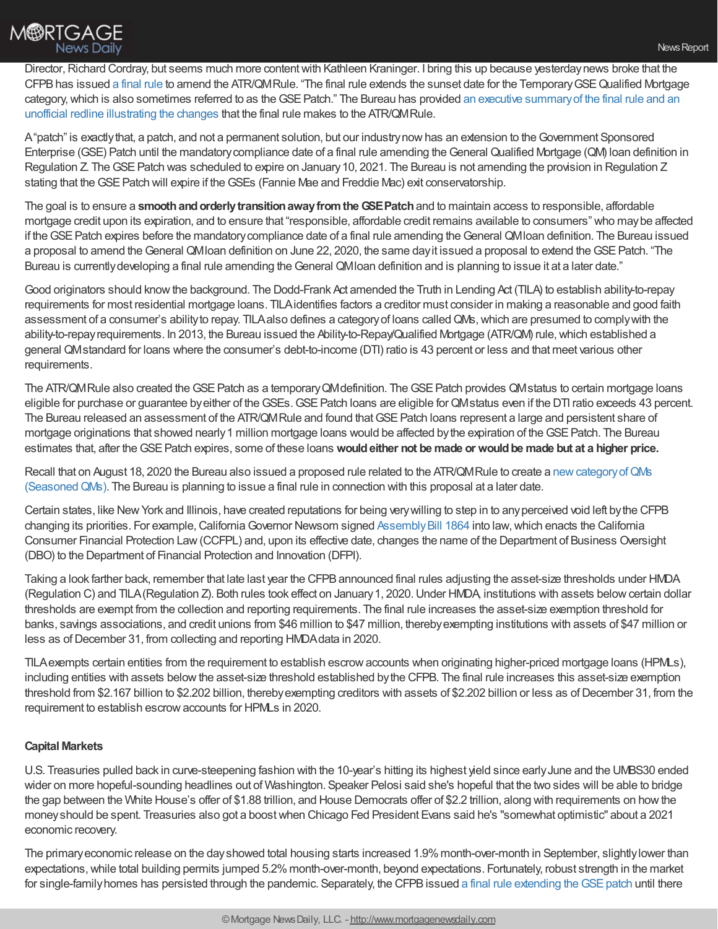

Director, Richard Cordray, but seems much more content with Kathleen Kraninger. I bring this up because yesterday news broke that the CFPBhas issued a [final](https://www.consumerfinance.gov/policy-compliance/rulemaking/final-rules/qualified-mortgage-definition-under-truth-lending-act-regulation-z-extension-sunset-date/) rule to amend the ATR/QMRule. "The final rule extends the sunset date for the TemporaryGSEQualified Mortgage category, which is also sometimes referred to as the GSE Patch." The Bureau has provided an executive summary of the final rule and an unofficial redline illustrating the changes that the final rule makes to the ATR/QMRule.

A"patch" is exactlythat, a patch, and not a permanent solution, but our industrynowhas an extension to theGovernment Sponsored Enterprise (GSE) Patch until the mandatory compliance date of a final rule amending the General Qualified Mortgage (QM) loan definition in Regulation Z. The GSE Patch was scheduled to expire on January 10, 2021. The Bureau is not amending the provision in Regulation Z stating that the GSE Patch will expire if the GSEs (Fannie Mae and Freddie Mac) exit conservatorship.

The goal is to ensure a **smooth and orderly transition away from the GSE Patch** and to maintain access to responsible, affordable mortgage credit upon its expiration, and to ensure that "responsible, affordable credit remains available to consumers" who maybe affected if the GSE Patch expires before the mandatory compliance date of a final rule amending the General QMIoan definition. The Bureau issued a proposal to amend the General QMIoan definition on June 22, 2020, the same day it issued a proposal to extend the GSE Patch. "The Bureau is currently developing a final rule amending the General QMIoan definition and is planning to issue it at a later date."

Good originators should knowthe background. The Dodd-Frank Act amended the Truth in Lending Act (TILA) to establish ability-to-repay requirements for most residential mortgage loans. TILAidentifies factors a creditor must consider in making a reasonable and good faith assessment of a consumer's abilityto repay. TILAalso defines a categoryof loans calledQMs,which are presumed to complywith the ability-to-repayrequirements. In 2013, the Bureau issued the Ability-to-Repay/Qualified Mortgage (ATR/QM) rule,which established a general QMstandard for loans where the consumer's debt-to-income (DTI) ratio is 43 percent or less and that meet various other requirements.

The ATR/QM Rule also created the GSE Patch as a temporary QM definition. The GSE Patch provides QM status to certain mortgage loans eligible for purchase or guarantee by either of the GSEs. GSE Patch loans are eligible for QMstatus even if the DTI ratio exceeds 43 percent. The Bureau released an assessment of the ATR/QM Rule and found that GSE Patch loans represent a large and persistent share of mortgage originations that showed nearly 1 million mortgage loans would be affected by the expiration of the GSE Patch. The Bureau estimates that, after theGSEPatch expires, some of these loans **wouldeither not be made or wouldbe made but at a higher price.**

Recall that on August 18, 2020 the Bureau also issued a proposed rule related to the ATR/QM Rule to create a new category of QMs (SeasonedQMs). The Bureau is planning to issue a final rule in connection with this proposal at a later date.

Certain states, like NewYork and Illinois, have created reputations for being verywilling to step in to anyperceived void left bythe CFPB changing its priorities. For example, California Governor Newsom signed Assembly Bill 1864 into law, which enacts the California Consumer Financial Protection Law(CCFPL) and, upon its effective date, changes the name of the Department of Business Oversight (DBO) to the Department of Financial Protection and Innovation (DFPI).

Taking a look farther back, remember that late last year the CFPBannounced final rules adjusting the asset-size thresholds under HMDA (Regulation C) and TILA(Regulation Z). Both rules took effect on January1, 2020.Under HMDA, institutions with assets belowcertain dollar thresholds are exempt from the collection and reporting requirements. The final rule increases the asset-size exemption threshold for banks, savings associations, and credit unions from \$46 million to \$47 million, therebyexempting institutions with assets of \$47 million or less as of December 31, from collecting and reporting HMDA data in 2020.

TILAexempts certain entities from the requirement to establish escrowaccounts when originating higher-priced mortgage loans (HPMLs), including entities with assets below the asset-size threshold established by the CFPB. The final rule increases this asset-size exemption threshold from \$2.167 billion to \$2.202 billion, therebyexempting creditors with assets of \$2.202 billion or less as ofDecember 31, from the requirement to establish escrowaccounts for HPMLs in 2020.

# **Capital Markets**

U.S. Treasuries pulled back in curve-steepening fashion with the 10-year's hitting its highest yield since earlyJune and the UMBS30 ended wider on more hopeful-sounding headlines out of Washington. Speaker Pelosi said she's hopeful that the two sides will be able to bridge the gap between the White House's offer of \$1.88 trillion, and House Democrats offer of \$2.2 trillion, along with requirements on howthe moneyshould be spent. Treasuries also got a boostwhen Chicago Fed President Evans said he's "somewhat optimistic" about a 2021 economic recovery.

The primaryeconomic release on the dayshowed total housing starts increased 1.9%month-over-month in September, slightlylower than expectations, while total building permits jumped 5.2% month-over-month, beyond expectations. Fortunately, robust strength in the market for single-family homes has persisted through the pandemic. Separately, the CFPB issued a final rule extending the GSE patch until there